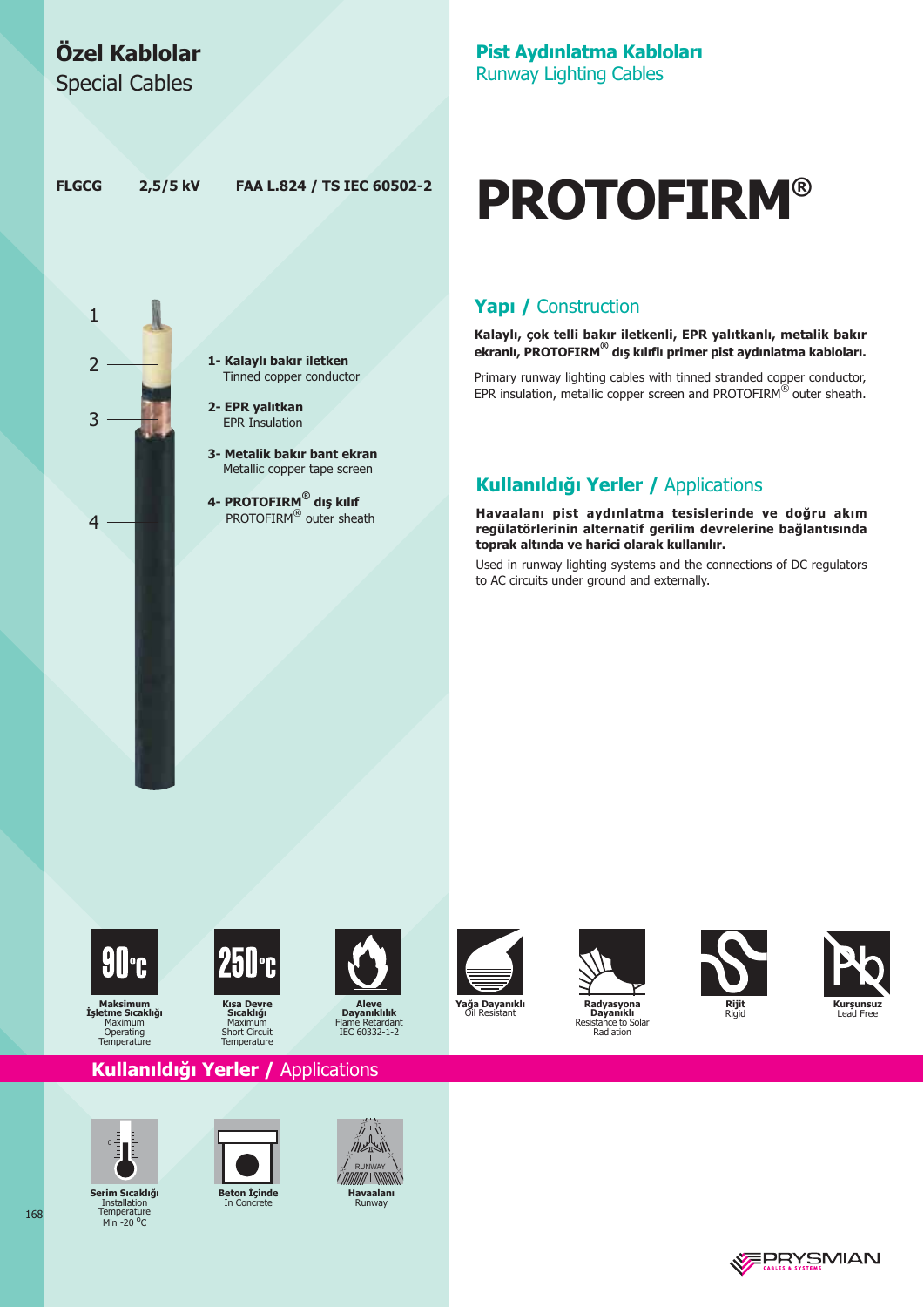## Özel Kablolar

**Special Cables** 

#### Pist Aydınlatma Kabloları **Runway Lighting Cables**

**FLGCG** 

1

 $\overline{2}$ 

 $\overline{3}$ 

 $\overline{4}$ 

2,5/5 kV FAA L.824 / TS IEC 60502-2

> 1- Kalaylı bakır iletken Tinned copper conductor

- 2- EPR yalıtkan **EPR** Insulation
- 3- Metalik bakır bant ekran Metallic copper tape screen
- 4- PROTOFIRM® dis kilif PROTOFIRM<sup>®</sup> outer sheath

# **PROTOFIRM®**

#### Yapı / Construction

Kalaylı, çok telli bakır iletkenli, EPR yalıtkanlı, metalik bakır ekranlı, PROTOFIRM® dış kılıflı primer pist aydınlatma kabloları.

Primary runway lighting cables with tinned stranded copper conductor, EPR insulation, metallic copper screen and PROTOFIRM® outer sheath.

#### Kullanıldığı Yerler / Applications

Havaalanı pist aydınlatma tesislerinde ve doğru akım regülatörlerinin alternatif gerilim devrelerine bağlantısında toprak altında ve harici olarak kullanılır.

Used in runway lighting systems and the connections of DC regulators to AC circuits under ground and externally.



Maksimum<br>Işletme Sıcaklığı<br>Maximum<br>Operating<br>Temperature



**Sicakliği**<br>Maximum<br>Short Circuit<br>Temperature













Kullanıldığı Yerler / Applications



Serim Sıcaklığı Installation<br>Temperature Min -  $20^{\circ}$ C